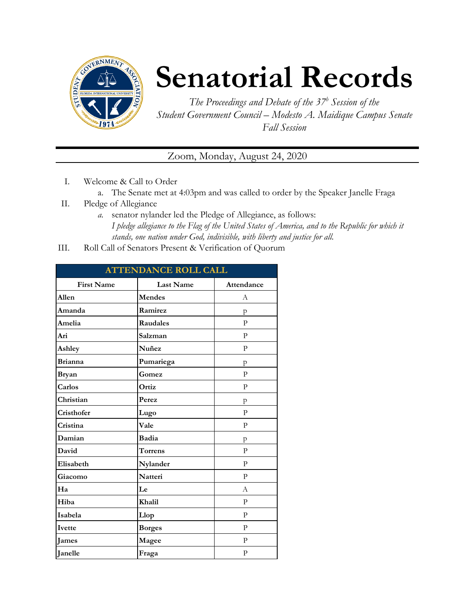

## **Senatorial Records**

*The Proceedings and Debate of the 37 <sup>h</sup> Session of the Student Government Council – Modesto A. Maidique Campus Senate Fall Session*

Zoom, Monday, August 24, 2020

- I. Welcome & Call to Order
	- a. The Senate met at 4:03pm and was called to order by the Speaker Janelle Fraga
- II. Pledge of Allegiance
	- *a.* senator nylander led the Pledge of Allegiance, as follows: *I pledge allegiance to the Flag of the United States of America, and to the Republic for which it stands, one nation under God, indivisible, with liberty and justice for all.*
- III. Roll Call of Senators Present & Verification of Quorum

| <b>ATTENDANCE ROLL CALL</b> |                  |              |  |
|-----------------------------|------------------|--------------|--|
| <b>First Name</b>           | <b>Last Name</b> | Attendance   |  |
| Allen                       | <b>Mendes</b>    | А            |  |
| Amanda                      | Ramirez          | p            |  |
| Amelia                      | <b>Raudales</b>  | P            |  |
| Ari                         | Salzman          | P            |  |
| Ashley                      | Nuñez            | $\mathbf{P}$ |  |
| <b>Brianna</b>              | Pumariega        | p            |  |
| <b>Bryan</b>                | Gomez            | $\mathbf{P}$ |  |
| Carlos                      | Ortiz            | $\mathbf{P}$ |  |
| Christian                   | Perez            | p            |  |
| Cristhofer                  | Lugo             | $\mathbf{P}$ |  |
| Cristina                    | Vale             | P            |  |
| Damian                      | Badia            | p            |  |
| David                       | <b>Torrens</b>   | $\mathbf{P}$ |  |
| Elisabeth                   | Nylander         | $\mathbf{P}$ |  |
| Giacomo                     | Natteri          | P            |  |
| Ha                          | Le               | А            |  |
| Hiba                        | Khalil           | $\mathbf{P}$ |  |
| Isabela                     | Llop             | $\mathbf{P}$ |  |
| Ivette                      | <b>Borges</b>    | $\mathbf{P}$ |  |
| <b>James</b>                | Magee            | $\mathbf{P}$ |  |
| Janelle                     | Fraga            | $\mathbf{P}$ |  |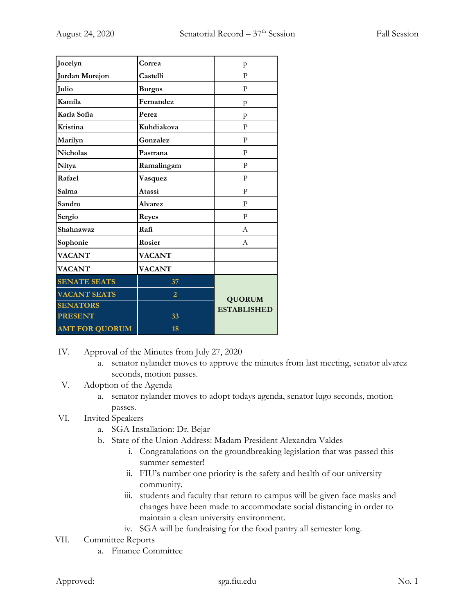| Jocelyn               | Correa         | p                                   |
|-----------------------|----------------|-------------------------------------|
| <b>Jordan Morejon</b> | Castelli       | P                                   |
| Julio                 | <b>Burgos</b>  | $\mathbf{P}$                        |
| Kamila                | Fernandez      | p                                   |
| Karla Sofia           | Perez          | p                                   |
| Kristina              | Kuhdiakova     | P                                   |
| Marilyn               | Gonzalez       | $\mathbf{P}$                        |
| <b>Nicholas</b>       | Pastrana       | $\mathbf{P}$                        |
| Nitya                 | Ramalingam     | P                                   |
| Rafael                | Vasquez        | P                                   |
| Salma                 | Atassi         | $\mathbf{P}$                        |
| Sandro                | <b>Alvarez</b> | $\mathbf{P}$                        |
| Sergio                | <b>Reyes</b>   | P                                   |
| Shahnawaz             | Rafi           | A                                   |
| Sophonie              | Rosier         | A                                   |
| <b>VACANT</b>         | <b>VACANT</b>  |                                     |
| <b>VACANT</b>         | <b>VACANT</b>  |                                     |
| <b>SENATE SEATS</b>   | 37             |                                     |
| <b>VACANT SEATS</b>   | $\overline{2}$ | <b>QUORUM</b><br><b>ESTABLISHED</b> |
| <b>SENATORS</b>       |                |                                     |
| <b>PRESENT</b>        | 33             |                                     |
| <b>AMT FOR QUORUM</b> | 18             |                                     |

- IV. Approval of the Minutes from July 27, 2020
	- a. senator nylander moves to approve the minutes from last meeting, senator alvarez seconds, motion passes.
- V. Adoption of the Agenda
	- a. senator nylander moves to adopt todays agenda, senator lugo seconds, motion passes.
- VI. Invited Speakers
	- a. SGA Installation: Dr. Bejar
	- b. State of the Union Address: Madam President Alexandra Valdes
		- i. Congratulations on the groundbreaking legislation that was passed this summer semester!
		- ii. FIU's number one priority is the safety and health of our university community.
		- iii. students and faculty that return to campus will be given face masks and changes have been made to accommodate social distancing in order to maintain a clean university environment.
		- iv. SGA will be fundraising for the food pantry all semester long.
- VII. Committee Reports
	- a. Finance Committee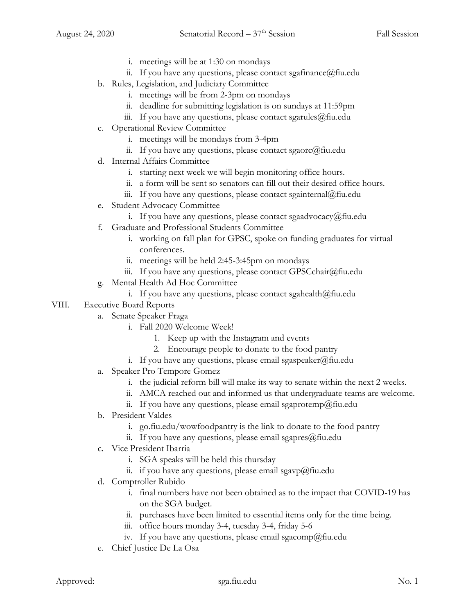- i. meetings will be at 1:30 on mondays
- ii. If you have any questions, please contact sgafinance  $\omega$  fiu.edu
- b. Rules, Legislation, and Judiciary Committee
	- i. meetings will be from 2-3pm on mondays
	- ii. deadline for submitting legislation is on sundays at 11:59pm
	- iii. If you have any questions, please contact sgarules  $@$  fiu.edu
- c. Operational Review Committee
	- i. meetings will be mondays from 3-4pm
	- ii. If you have any questions, please contact sgaorc@fiu.edu
- d. Internal Affairs Committee
	- i. starting next week we will begin monitoring office hours.
	- ii. a form will be sent so senators can fill out their desired office hours.
	- iii. If you have any questions, please contact sgainternal@fiu.edu
- e. Student Advocacy Committee
	- i. If you have any questions, please contact sgaadvocacy@fiu.edu
- f. Graduate and Professional Students Committee
	- i. working on fall plan for GPSC, spoke on funding graduates for virtual conferences.
	- ii. meetings will be held 2:45-3:45pm on mondays
	- iii. If you have any questions, please contact GPSCchair@fiu.edu
- g. Mental Health Ad Hoc Committee
	- i. If you have any questions, please contact sgahealth@fiu.edu
- VIII. Executive Board Reports
	- a. Senate Speaker Fraga
		- i. Fall 2020 Welcome Week!
			- 1. Keep up with the Instagram and events
			- 2. Encourage people to donate to the food pantry
		- i. If you have any questions, please email sgaspeaker@fiu.edu
	- a. Speaker Pro Tempore Gomez
		- i. the judicial reform bill will make its way to senate within the next 2 weeks.
		- ii. AMCA reached out and informed us that undergraduate teams are welcome.
		- ii. If you have any questions, please email sgaprotemp@fiu.edu
	- b. President Valdes
		- i. go.fiu.edu/wowfoodpantry is the link to donate to the food pantry
		- ii. If you have any questions, please email sgapres@fiu.edu
	- c. Vice President Ibarria
		- i. SGA speaks will be held this thursday
		- ii. if you have any questions, please email sgavp@fiu.edu
	- d. Comptroller Rubido
		- i. final numbers have not been obtained as to the impact that COVID-19 has on the SGA budget.
		- ii. purchases have been limited to essential items only for the time being.
		- iii. office hours monday 3-4, tuesday 3-4, friday 5-6
		- iv. If you have any questions, please email sgacomp@fiu.edu
	- e. Chief Justice De La Osa